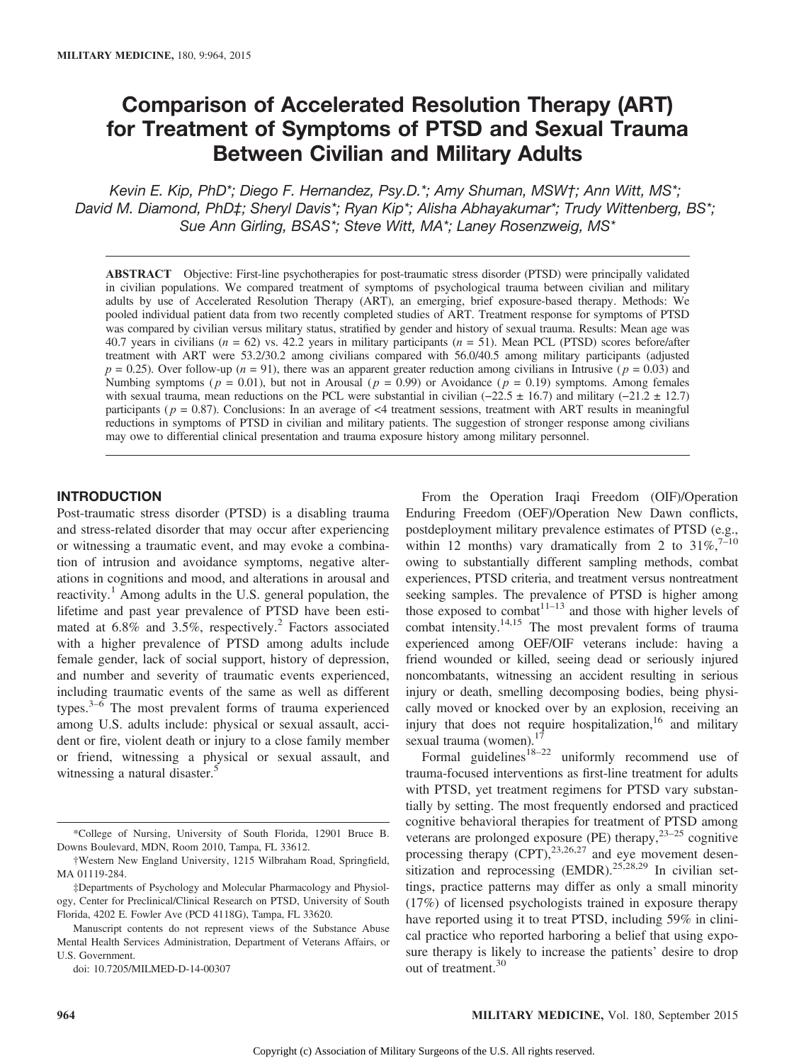# Comparison of Accelerated Resolution Therapy (ART) for Treatment of Symptoms of PTSD and Sexual Trauma Between Civilian and Military Adults

Kevin E. Kip, PhD\*; Diego F. Hernandez, Psy.D.\*; Amy Shuman, MSW†; Ann Witt, MS\*; David M. Diamond, PhD‡; Sheryl Davis\*; Ryan Kip\*; Alisha Abhayakumar\*; Trudy Wittenberg, BS\*; Sue Ann Girling, BSAS\*; Steve Witt, MA\*; Laney Rosenzweig, MS\*

ABSTRACT Objective: First-line psychotherapies for post-traumatic stress disorder (PTSD) were principally validated in civilian populations. We compared treatment of symptoms of psychological trauma between civilian and military adults by use of Accelerated Resolution Therapy (ART), an emerging, brief exposure-based therapy. Methods: We pooled individual patient data from two recently completed studies of ART. Treatment response for symptoms of PTSD was compared by civilian versus military status, stratified by gender and history of sexual trauma. Results: Mean age was 40.7 years in civilians ( $n = 62$ ) vs. 42.2 years in military participants ( $n = 51$ ). Mean PCL (PTSD) scores before/after treatment with ART were 53.2/30.2 among civilians compared with 56.0/40.5 among military participants (adjusted  $p = 0.25$ ). Over follow-up ( $n = 91$ ), there was an apparent greater reduction among civilians in Intrusive ( $p = 0.03$ ) and Numbing symptoms ( $p = 0.01$ ), but not in Arousal ( $p = 0.99$ ) or Avoidance ( $p = 0.19$ ) symptoms. Among females with sexual trauma, mean reductions on the PCL were substantial in civilian  $(-22.5 \pm 16.7)$  and military  $(-21.2 \pm 12.7)$ participants ( $p = 0.87$ ). Conclusions: In an average of <4 treatment sessions, treatment with ART results in meaningful reductions in symptoms of PTSD in civilian and military patients. The suggestion of stronger response among civilians may owe to differential clinical presentation and trauma exposure history among military personnel.

# INTRODUCTION

Post-traumatic stress disorder (PTSD) is a disabling trauma and stress-related disorder that may occur after experiencing or witnessing a traumatic event, and may evoke a combination of intrusion and avoidance symptoms, negative alterations in cognitions and mood, and alterations in arousal and reactivity.<sup>1</sup> Among adults in the U.S. general population, the lifetime and past year prevalence of PTSD have been estimated at  $6.8\%$  and  $3.5\%$ , respectively.<sup>2</sup> Factors associated with a higher prevalence of PTSD among adults include female gender, lack of social support, history of depression, and number and severity of traumatic events experienced, including traumatic events of the same as well as different types. $3-6$  The most prevalent forms of trauma experienced among U.S. adults include: physical or sexual assault, accident or fire, violent death or injury to a close family member or friend, witnessing a physical or sexual assault, and witnessing a natural disaster.<sup>5</sup>

doi: 10.7205/MILMED-D-14-00307

Enduring Freedom (OEF)/Operation New Dawn conflicts, postdeployment military prevalence estimates of PTSD (e.g., within 12 months) vary dramatically from 2 to  $31\%$ ,<sup>7-10</sup> owing to substantially different sampling methods, combat experiences, PTSD criteria, and treatment versus nontreatment seeking samples. The prevalence of PTSD is higher among those exposed to combat<sup>11–13</sup> and those with higher levels of combat intensity.14,15 The most prevalent forms of trauma experienced among OEF/OIF veterans include: having a friend wounded or killed, seeing dead or seriously injured noncombatants, witnessing an accident resulting in serious injury or death, smelling decomposing bodies, being physically moved or knocked over by an explosion, receiving an injury that does not require hospitalization, $16$  and military sexual trauma (women). $17$ 

From the Operation Iraqi Freedom (OIF)/Operation

Formal guidelines<sup>18–22</sup> uniformly recommend use of trauma-focused interventions as first-line treatment for adults with PTSD, yet treatment regimens for PTSD vary substantially by setting. The most frequently endorsed and practiced cognitive behavioral therapies for treatment of PTSD among veterans are prolonged exposure (PE) therapy, $23-25$  cognitive processing therapy  $\overline{(CPT)}$ ,  $^{23,26,27}$  and eye movement desensitization and reprocessing (EMDR).<sup>25,28,29</sup> In civilian settings, practice patterns may differ as only a small minority (17%) of licensed psychologists trained in exposure therapy have reported using it to treat PTSD, including 59% in clinical practice who reported harboring a belief that using exposure therapy is likely to increase the patients' desire to drop out of treatment.<sup>30</sup>

<sup>\*</sup>College of Nursing, University of South Florida, 12901 Bruce B. Downs Boulevard, MDN, Room 2010, Tampa, FL 33612.

<sup>†</sup>Western New England University, 1215 Wilbraham Road, Springfield, MA 01119-284.

<sup>‡</sup>Departments of Psychology and Molecular Pharmacology and Physiology, Center for Preclinical/Clinical Research on PTSD, University of South Florida, 4202 E. Fowler Ave (PCD 4118G), Tampa, FL 33620.

Manuscript contents do not represent views of the Substance Abuse Mental Health Services Administration, Department of Veterans Affairs, or U.S. Government.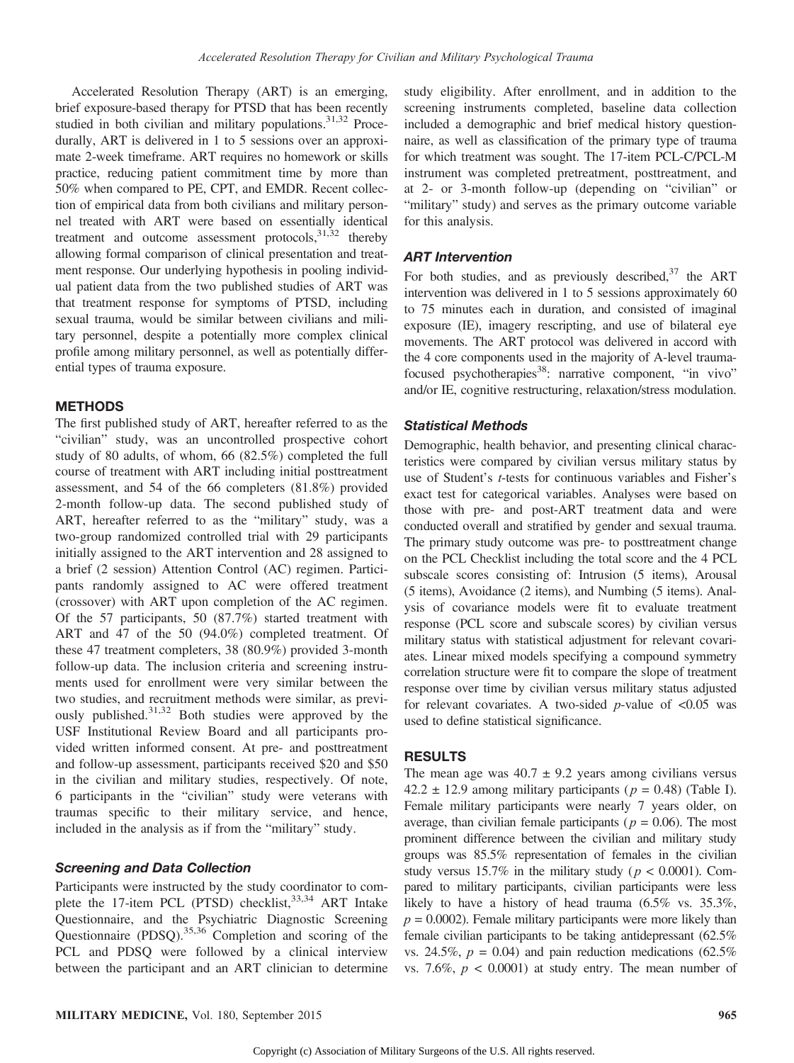Accelerated Resolution Therapy (ART) is an emerging, brief exposure-based therapy for PTSD that has been recently studied in both civilian and military populations.<sup>31,32</sup> Procedurally, ART is delivered in 1 to 5 sessions over an approximate 2-week timeframe. ART requires no homework or skills practice, reducing patient commitment time by more than 50% when compared to PE, CPT, and EMDR. Recent collection of empirical data from both civilians and military personnel treated with ART were based on essentially identical treatment and outcome assessment protocols,  $31,32$  thereby allowing formal comparison of clinical presentation and treatment response. Our underlying hypothesis in pooling individual patient data from the two published studies of ART was that treatment response for symptoms of PTSD, including sexual trauma, would be similar between civilians and military personnel, despite a potentially more complex clinical profile among military personnel, as well as potentially differential types of trauma exposure.

#### **METHODS**

The first published study of ART, hereafter referred to as the "civilian" study, was an uncontrolled prospective cohort study of 80 adults, of whom, 66 (82.5%) completed the full course of treatment with ART including initial posttreatment assessment, and 54 of the 66 completers (81.8%) provided 2-month follow-up data. The second published study of ART, hereafter referred to as the "military" study, was a two-group randomized controlled trial with 29 participants initially assigned to the ART intervention and 28 assigned to a brief (2 session) Attention Control (AC) regimen. Participants randomly assigned to AC were offered treatment (crossover) with ART upon completion of the AC regimen. Of the 57 participants, 50 (87.7%) started treatment with ART and 47 of the 50 (94.0%) completed treatment. Of these 47 treatment completers, 38 (80.9%) provided 3-month follow-up data. The inclusion criteria and screening instruments used for enrollment were very similar between the two studies, and recruitment methods were similar, as previously published. $31,32$  Both studies were approved by the USF Institutional Review Board and all participants provided written informed consent. At pre- and posttreatment and follow-up assessment, participants received \$20 and \$50 in the civilian and military studies, respectively. Of note, 6 participants in the "civilian" study were veterans with traumas specific to their military service, and hence, included in the analysis as if from the "military" study.

# Screening and Data Collection

Participants were instructed by the study coordinator to complete the 17-item PCL (PTSD) checklist,<sup>33,34</sup> ART Intake Questionnaire, and the Psychiatric Diagnostic Screening Questionnaire (PDSQ).35,36 Completion and scoring of the PCL and PDSQ were followed by a clinical interview between the participant and an ART clinician to determine

study eligibility. After enrollment, and in addition to the screening instruments completed, baseline data collection included a demographic and brief medical history questionnaire, as well as classification of the primary type of trauma for which treatment was sought. The 17-item PCL-C/PCL-M instrument was completed pretreatment, posttreatment, and at 2- or 3-month follow-up (depending on "civilian" or "military" study) and serves as the primary outcome variable for this analysis.

## ART Intervention

For both studies, and as previously described,  $37$  the ART intervention was delivered in 1 to 5 sessions approximately 60 to 75 minutes each in duration, and consisted of imaginal exposure (IE), imagery rescripting, and use of bilateral eye movements. The ART protocol was delivered in accord with the 4 core components used in the majority of A-level traumafocused psychotherapies<sup>38</sup>: narrative component, "in vivo" and/or IE, cognitive restructuring, relaxation/stress modulation.

#### Statistical Methods

Demographic, health behavior, and presenting clinical characteristics were compared by civilian versus military status by use of Student's t-tests for continuous variables and Fisher's exact test for categorical variables. Analyses were based on those with pre- and post-ART treatment data and were conducted overall and stratified by gender and sexual trauma. The primary study outcome was pre- to posttreatment change on the PCL Checklist including the total score and the 4 PCL subscale scores consisting of: Intrusion (5 items), Arousal (5 items), Avoidance (2 items), and Numbing (5 items). Analysis of covariance models were fit to evaluate treatment response (PCL score and subscale scores) by civilian versus military status with statistical adjustment for relevant covariates. Linear mixed models specifying a compound symmetry correlation structure were fit to compare the slope of treatment response over time by civilian versus military status adjusted for relevant covariates. A two-sided *p*-value of  $\langle 0.05 \rangle$  was used to define statistical significance.

# RESULTS

The mean age was  $40.7 \pm 9.2$  years among civilians versus 42.2  $\pm$  12.9 among military participants ( $p = 0.48$ ) (Table I). Female military participants were nearly 7 years older, on average, than civilian female participants ( $p = 0.06$ ). The most prominent difference between the civilian and military study groups was 85.5% representation of females in the civilian study versus 15.7% in the military study ( $p < 0.0001$ ). Compared to military participants, civilian participants were less likely to have a history of head trauma (6.5% vs. 35.3%,  $p = 0.0002$ ). Female military participants were more likely than female civilian participants to be taking antidepressant (62.5% vs. 24.5%,  $p = 0.04$ ) and pain reduction medications (62.5%) vs. 7.6%,  $p < 0.0001$ ) at study entry. The mean number of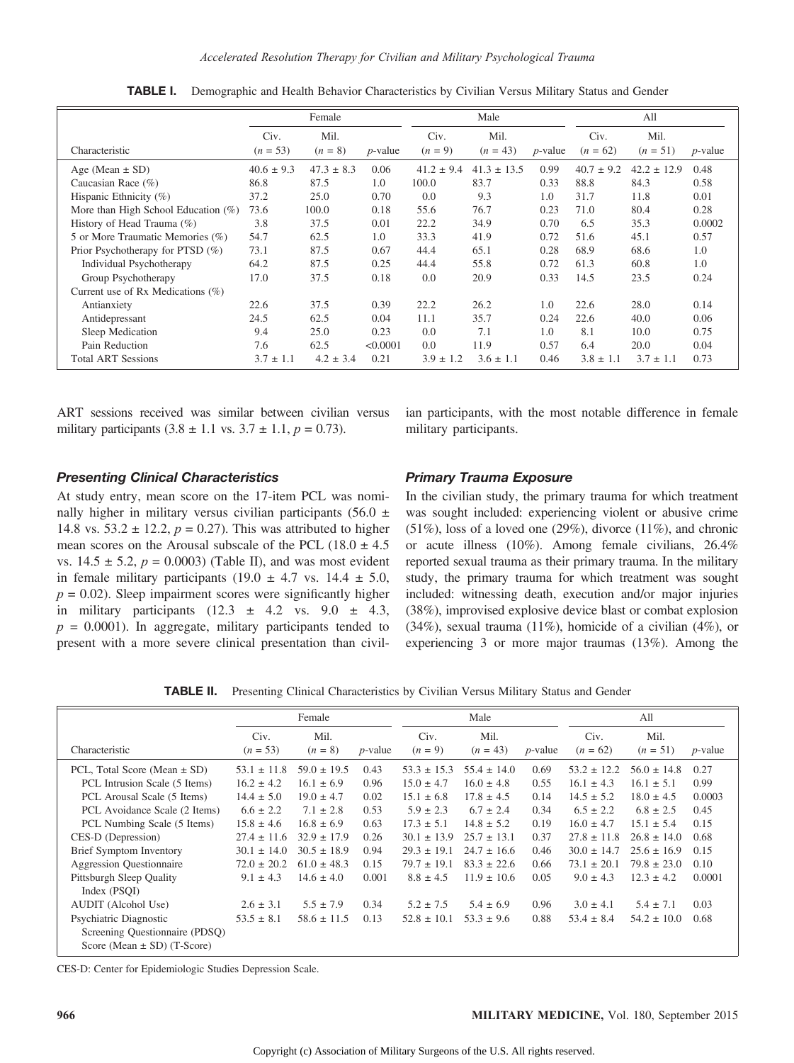|                                        | Female             |                   |            | Male              |                    |            | All                |                    |            |
|----------------------------------------|--------------------|-------------------|------------|-------------------|--------------------|------------|--------------------|--------------------|------------|
| Characteristic                         | Civ.<br>$(n = 53)$ | Mil.<br>$(n = 8)$ | $p$ -value | Civ.<br>$(n = 9)$ | Mil.<br>$(n = 43)$ | $p$ -value | Civ.<br>$(n = 62)$ | Mil.<br>$(n = 51)$ | $p$ -value |
| Age (Mean $\pm$ SD)                    | $40.6 \pm 9.3$     | $47.3 \pm 8.3$    | 0.06       | $41.2 \pm 9.4$    | $41.3 \pm 13.5$    | 0.99       | $40.7 \pm 9.2$     | $42.2 \pm 12.9$    | 0.48       |
| Caucasian Race $(\% )$                 | 86.8               | 87.5              | 1.0        | 100.0             | 83.7               | 0.33       | 88.8               | 84.3               | 0.58       |
| Hispanic Ethnicity (%)                 | 37.2               | 25.0              | 0.70       | 0.0               | 9.3                | 1.0        | 31.7               | 11.8               | 0.01       |
| More than High School Education $(\%)$ | 73.6               | 100.0             | 0.18       | 55.6              | 76.7               | 0.23       | 71.0               | 80.4               | 0.28       |
| History of Head Trauma (%)             | 3.8                | 37.5              | 0.01       | 22.2              | 34.9               | 0.70       | 6.5                | 35.3               | 0.0002     |
| 5 or More Traumatic Memories (%)       | 54.7               | 62.5              | 1.0        | 33.3              | 41.9               | 0.72       | 51.6               | 45.1               | 0.57       |
| Prior Psychotherapy for PTSD $(\%)$    | 73.1               | 87.5              | 0.67       | 44.4              | 65.1               | 0.28       | 68.9               | 68.6               | 1.0        |
| Individual Psychotherapy               | 64.2               | 87.5              | 0.25       | 44.4              | 55.8               | 0.72       | 61.3               | 60.8               | 1.0        |
| Group Psychotherapy                    | 17.0               | 37.5              | 0.18       | 0.0               | 20.9               | 0.33       | 14.5               | 23.5               | 0.24       |
| Current use of Rx Medications $(\%)$   |                    |                   |            |                   |                    |            |                    |                    |            |
| Antianxiety                            | 22.6               | 37.5              | 0.39       | 22.2              | 26.2               | 1.0        | 22.6               | 28.0               | 0.14       |
| Antidepressant                         | 24.5               | 62.5              | 0.04       | 11.1              | 35.7               | 0.24       | 22.6               | 40.0               | 0.06       |
| Sleep Medication                       | 9.4                | 25.0              | 0.23       | 0.0               | 7.1                | 1.0        | 8.1                | 10.0               | 0.75       |
| Pain Reduction                         | 7.6                | 62.5              | < 0.0001   | 0.0               | 11.9               | 0.57       | 6.4                | 20.0               | 0.04       |
| <b>Total ART Sessions</b>              | $3.7 \pm 1.1$      | $4.2 \pm 3.4$     | 0.21       | $3.9 \pm 1.2$     | $3.6 \pm 1.1$      | 0.46       | $3.8 \pm 1.1$      | $3.7 \pm 1.1$      | 0.73       |

**TABLE I.** Demographic and Health Behavior Characteristics by Civilian Versus Military Status and Gender

ART sessions received was similar between civilian versus military participants  $(3.8 \pm 1.1 \text{ vs. } 3.7 \pm 1.1, p = 0.73)$ .

ian participants, with the most notable difference in female military participants.

#### Presenting Clinical Characteristics

At study entry, mean score on the 17-item PCL was nominally higher in military versus civilian participants (56.0  $\pm$ 14.8 vs. 53.2  $\pm$  12.2,  $p = 0.27$ ). This was attributed to higher mean scores on the Arousal subscale of the PCL (18.0  $\pm$  4.5 vs.  $14.5 \pm 5.2$ ,  $p = 0.0003$ ) (Table II), and was most evident in female military participants (19.0  $\pm$  4.7 vs. 14.4  $\pm$  5.0,  $p = 0.02$ ). Sleep impairment scores were significantly higher in military participants  $(12.3 \pm 4.2 \text{ vs. } 9.0 \pm 4.3,$  $p = 0.0001$ ). In aggregate, military participants tended to present with a more severe clinical presentation than civil-

#### Primary Trauma Exposure

In the civilian study, the primary trauma for which treatment was sought included: experiencing violent or abusive crime (51%), loss of a loved one (29%), divorce (11%), and chronic or acute illness (10%). Among female civilians, 26.4% reported sexual trauma as their primary trauma. In the military study, the primary trauma for which treatment was sought included: witnessing death, execution and/or major injuries (38%), improvised explosive device blast or combat explosion (34%), sexual trauma (11%), homicide of a civilian (4%), or experiencing 3 or more major traumas (13%). Among the

TABLE II. Presenting Clinical Characteristics by Civilian Versus Military Status and Gender

|                                  | Female          |                 |            | Male            |                 |            | All             |                 |            |
|----------------------------------|-----------------|-----------------|------------|-----------------|-----------------|------------|-----------------|-----------------|------------|
|                                  | Civ.            | Mil.            |            | Civ.            | Mil.            |            | Civ.            | Mil.            |            |
| Characteristic                   | $(n = 53)$      | $(n = 8)$       | $p$ -value | $(n = 9)$       | $(n = 43)$      | $p$ -value | $(n = 62)$      | $(n = 51)$      | $p$ -value |
| PCL, Total Score (Mean $\pm$ SD) | $53.1 \pm 11.8$ | $59.0 \pm 19.5$ | 0.43       | $53.3 \pm 15.3$ | $55.4 \pm 14.0$ | 0.69       | $53.2 \pm 12.2$ | $56.0 \pm 14.8$ | 0.27       |
| PCL Intrusion Scale (5 Items)    | $16.2 \pm 4.2$  | $16.1 \pm 6.9$  | 0.96       | $15.0 \pm 4.7$  | $16.0 \pm 4.8$  | 0.55       | $16.1 \pm 4.3$  | $16.1 \pm 5.1$  | 0.99       |
| PCL Arousal Scale (5 Items)      | $14.4 \pm 5.0$  | $19.0 \pm 4.7$  | 0.02       | $15.1 \pm 6.8$  | $17.8 \pm 4.5$  | 0.14       | $14.5 \pm 5.2$  | $18.0 \pm 4.5$  | 0.0003     |
| PCL Avoidance Scale (2 Items)    | $6.6 \pm 2.2$   | $7.1 \pm 2.8$   | 0.53       | $5.9 \pm 2.3$   | $6.7 \pm 2.4$   | 0.34       | $6.5 \pm 2.2$   | $6.8 \pm 2.5$   | 0.45       |
| PCL Numbing Scale (5 Items)      | $15.8 \pm 4.6$  | $16.8 \pm 6.9$  | 0.63       | $17.3 \pm 5.1$  | $14.8 \pm 5.2$  | 0.19       | $16.0 \pm 4.7$  | $15.1 \pm 5.4$  | 0.15       |
| CES-D (Depression)               | $27.4 \pm 11.6$ | $32.9 \pm 17.9$ | 0.26       | $30.1 \pm 13.9$ | $25.7 \pm 13.1$ | 0.37       | $27.8 \pm 11.8$ | $26.8 \pm 14.0$ | 0.68       |
| Brief Symptom Inventory          | $30.1 \pm 14.0$ | $30.5 \pm 18.9$ | 0.94       | $29.3 \pm 19.1$ | $24.7 \pm 16.6$ | 0.46       | $30.0 \pm 14.7$ | $25.6 \pm 16.9$ | 0.15       |
| <b>Aggression Questionnaire</b>  | $72.0 \pm 20.2$ | $61.0 \pm 48.3$ | 0.15       | $79.7 \pm 19.1$ | $83.3 \pm 22.6$ | 0.66       | $73.1 \pm 20.1$ | $79.8 \pm 23.0$ | 0.10       |
| Pittsburgh Sleep Quality         | $9.1 \pm 4.3$   | $14.6 \pm 4.0$  | 0.001      | $8.8 \pm 4.5$   | $11.9 \pm 10.6$ | 0.05       | $9.0 \pm 4.3$   | $12.3 \pm 4.2$  | 0.0001     |
| Index (PSOI)                     |                 |                 |            |                 |                 |            |                 |                 |            |
| AUDIT (Alcohol Use)              | $2.6 \pm 3.1$   | $5.5 \pm 7.9$   | 0.34       | $5.2 \pm 7.5$   | $5.4 \pm 6.9$   | 0.96       | $3.0 \pm 4.1$   | $5.4 \pm 7.1$   | 0.03       |
| Psychiatric Diagnostic           | $53.5 \pm 8.1$  | $58.6 \pm 11.5$ | 0.13       | $52.8 \pm 10.1$ | $53.3 \pm 9.6$  | 0.88       | $53.4 \pm 8.4$  | $54.2 \pm 10.0$ | 0.68       |
| Screening Questionnaire (PDSQ)   |                 |                 |            |                 |                 |            |                 |                 |            |
| Score (Mean $\pm$ SD) (T-Score)  |                 |                 |            |                 |                 |            |                 |                 |            |

CES-D: Center for Epidemiologic Studies Depression Scale.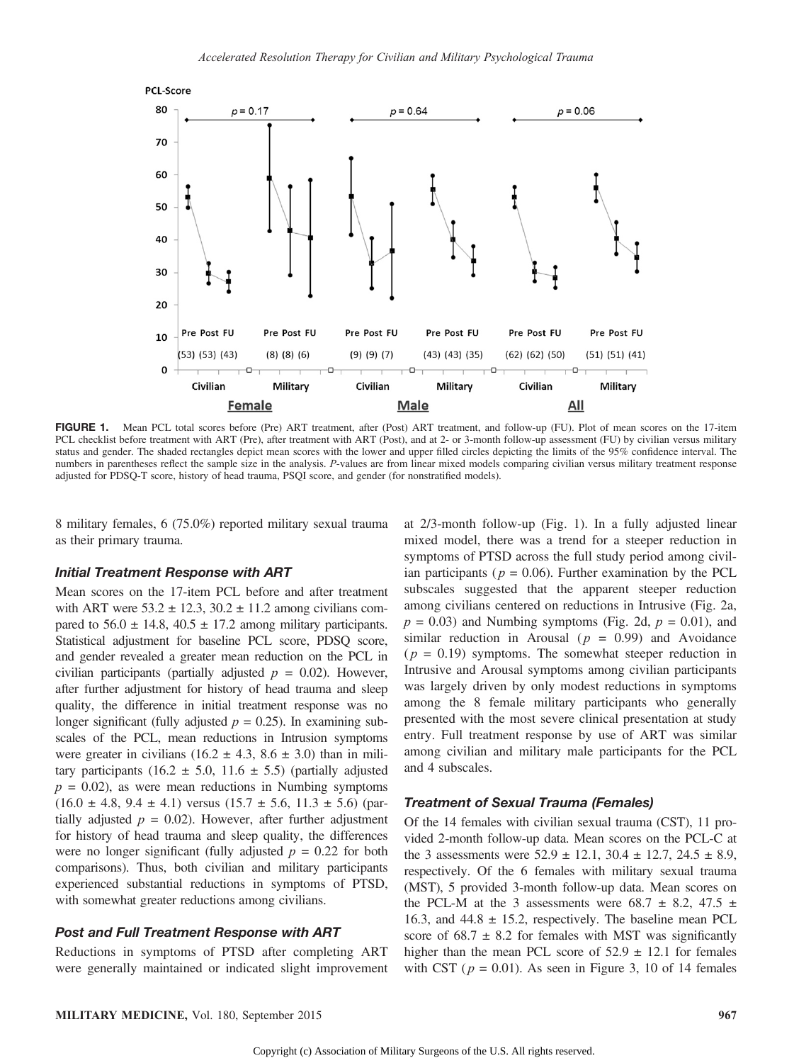

FIGURE 1. Mean PCL total scores before (Pre) ART treatment, after (Post) ART treatment, and follow-up (FU). Plot of mean scores on the 17-item PCL checklist before treatment with ART (Pre), after treatment with ART (Post), and at 2- or 3-month follow-up assessment (FU) by civilian versus military status and gender. The shaded rectangles depict mean scores with the lower and upper filled circles depicting the limits of the 95% confidence interval. The numbers in parentheses reflect the sample size in the analysis. P-values are from linear mixed models comparing civilian versus military treatment response adjusted for PDSQ-T score, history of head trauma, PSQI score, and gender (for nonstratified models).

8 military females, 6 (75.0%) reported military sexual trauma as their primary trauma.

## Initial Treatment Response with ART

Mean scores on the 17-item PCL before and after treatment with ART were  $53.2 \pm 12.3$ ,  $30.2 \pm 11.2$  among civilians compared to  $56.0 \pm 14.8$ ,  $40.5 \pm 17.2$  among military participants. Statistical adjustment for baseline PCL score, PDSQ score, and gender revealed a greater mean reduction on the PCL in civilian participants (partially adjusted  $p = 0.02$ ). However, after further adjustment for history of head trauma and sleep quality, the difference in initial treatment response was no longer significant (fully adjusted  $p = 0.25$ ). In examining subscales of the PCL, mean reductions in Intrusion symptoms were greater in civilians (16.2  $\pm$  4.3, 8.6  $\pm$  3.0) than in military participants (16.2  $\pm$  5.0, 11.6  $\pm$  5.5) (partially adjusted  $p = 0.02$ ), as were mean reductions in Numbing symptoms  $(16.0 \pm 4.8, 9.4 \pm 4.1)$  versus  $(15.7 \pm 5.6, 11.3 \pm 5.6)$  (partially adjusted  $p = 0.02$ ). However, after further adjustment for history of head trauma and sleep quality, the differences were no longer significant (fully adjusted  $p = 0.22$  for both comparisons). Thus, both civilian and military participants experienced substantial reductions in symptoms of PTSD, with somewhat greater reductions among civilians.

## Post and Full Treatment Response with ART

Reductions in symptoms of PTSD after completing ART were generally maintained or indicated slight improvement at 2/3-month follow-up (Fig. 1). In a fully adjusted linear mixed model, there was a trend for a steeper reduction in symptoms of PTSD across the full study period among civilian participants ( $p = 0.06$ ). Further examination by the PCL subscales suggested that the apparent steeper reduction among civilians centered on reductions in Intrusive (Fig. 2a,  $p = 0.03$ ) and Numbing symptoms (Fig. 2d,  $p = 0.01$ ), and similar reduction in Arousal ( $p = 0.99$ ) and Avoidance  $(p = 0.19)$  symptoms. The somewhat steeper reduction in Intrusive and Arousal symptoms among civilian participants was largely driven by only modest reductions in symptoms among the 8 female military participants who generally presented with the most severe clinical presentation at study entry. Full treatment response by use of ART was similar among civilian and military male participants for the PCL and 4 subscales.

#### Treatment of Sexual Trauma (Females)

Of the 14 females with civilian sexual trauma (CST), 11 provided 2-month follow-up data. Mean scores on the PCL-C at the 3 assessments were  $52.9 \pm 12.1$ ,  $30.4 \pm 12.7$ ,  $24.5 \pm 8.9$ , respectively. Of the 6 females with military sexual trauma (MST), 5 provided 3-month follow-up data. Mean scores on the PCL-M at the 3 assessments were  $68.7 \pm 8.2$ ,  $47.5 \pm 1$ 16.3, and  $44.8 \pm 15.2$ , respectively. The baseline mean PCL score of  $68.7 \pm 8.2$  for females with MST was significantly higher than the mean PCL score of  $52.9 \pm 12.1$  for females with CST ( $p = 0.01$ ). As seen in Figure 3, 10 of 14 females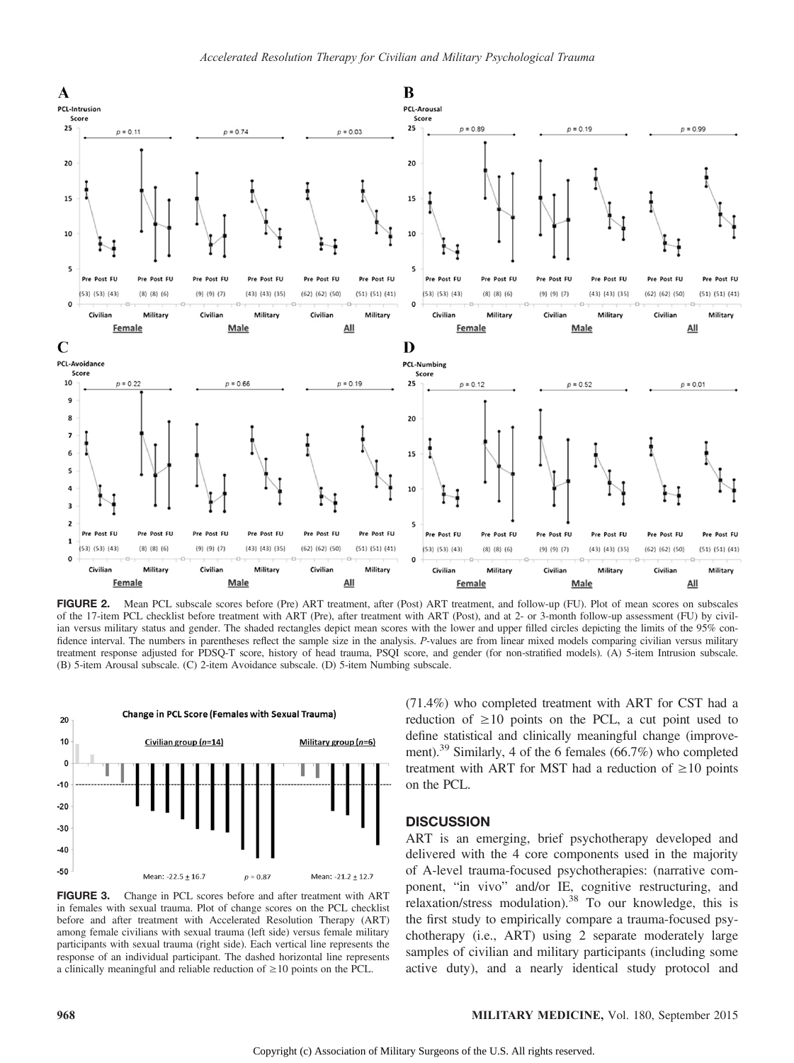

FIGURE 2. Mean PCL subscale scores before (Pre) ART treatment, after (Post) ART treatment, and follow-up (FU). Plot of mean scores on subscales of the 17-item PCL checklist before treatment with ART (Pre), after treatment with ART (Post), and at 2- or 3-month follow-up assessment (FU) by civilian versus military status and gender. The shaded rectangles depict mean scores with the lower and upper filled circles depicting the limits of the 95% confidence interval. The numbers in parentheses reflect the sample size in the analysis. P-values are from linear mixed models comparing civilian versus military treatment response adjusted for PDSQ-T score, history of head trauma, PSQI score, and gender (for non-stratified models). (A) 5-item Intrusion subscale. (B) 5-item Arousal subscale. (C) 2-item Avoidance subscale. (D) 5-item Numbing subscale.



FIGURE 3. Change in PCL scores before and after treatment with ART in females with sexual trauma. Plot of change scores on the PCL checklist before and after treatment with Accelerated Resolution Therapy (ART) among female civilians with sexual trauma (left side) versus female military participants with sexual trauma (right side). Each vertical line represents the response of an individual participant. The dashed horizontal line represents a clinically meaningful and reliable reduction of  $\geq 10$  points on the PCL.

(71.4%) who completed treatment with ART for CST had a reduction of  $\geq 10$  points on the PCL, a cut point used to define statistical and clinically meaningful change (improvement).<sup>39</sup> Similarly, 4 of the 6 females (66.7%) who completed treatment with ART for MST had a reduction of  $\geq 10$  points on the PCL.

#### **DISCUSSION**

ART is an emerging, brief psychotherapy developed and delivered with the 4 core components used in the majority of A-level trauma-focused psychotherapies: (narrative component, "in vivo" and/or IE, cognitive restructuring, and relaxation/stress modulation).<sup>38</sup> To our knowledge, this is the first study to empirically compare a trauma-focused psychotherapy (i.e., ART) using 2 separate moderately large samples of civilian and military participants (including some active duty), and a nearly identical study protocol and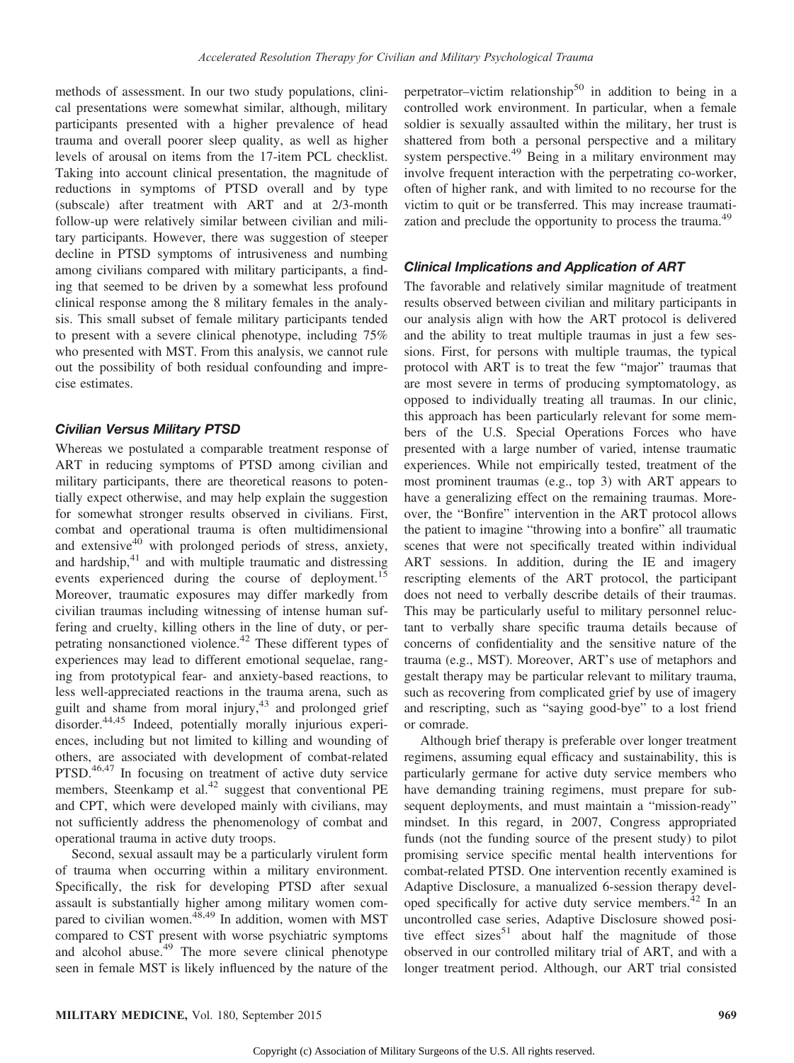methods of assessment. In our two study populations, clinical presentations were somewhat similar, although, military participants presented with a higher prevalence of head trauma and overall poorer sleep quality, as well as higher levels of arousal on items from the 17-item PCL checklist. Taking into account clinical presentation, the magnitude of reductions in symptoms of PTSD overall and by type (subscale) after treatment with ART and at 2/3-month follow-up were relatively similar between civilian and military participants. However, there was suggestion of steeper decline in PTSD symptoms of intrusiveness and numbing among civilians compared with military participants, a finding that seemed to be driven by a somewhat less profound clinical response among the 8 military females in the analysis. This small subset of female military participants tended to present with a severe clinical phenotype, including 75% who presented with MST. From this analysis, we cannot rule out the possibility of both residual confounding and imprecise estimates.

#### Civilian Versus Military PTSD

Whereas we postulated a comparable treatment response of ART in reducing symptoms of PTSD among civilian and military participants, there are theoretical reasons to potentially expect otherwise, and may help explain the suggestion for somewhat stronger results observed in civilians. First, combat and operational trauma is often multidimensional and extensive<sup>40</sup> with prolonged periods of stress, anxiety, and hardship, $41$  and with multiple traumatic and distressing events experienced during the course of deployment.<sup>15</sup> Moreover, traumatic exposures may differ markedly from civilian traumas including witnessing of intense human suffering and cruelty, killing others in the line of duty, or perpetrating nonsanctioned violence.<sup>42</sup> These different types of experiences may lead to different emotional sequelae, ranging from prototypical fear- and anxiety-based reactions, to less well-appreciated reactions in the trauma arena, such as guilt and shame from moral injury,<sup>43</sup> and prolonged grief disorder.<sup>44,45</sup> Indeed, potentially morally injurious experiences, including but not limited to killing and wounding of others, are associated with development of combat-related PTSD.<sup>46,47</sup> In focusing on treatment of active duty service members, Steenkamp et al.<sup>42</sup> suggest that conventional PE and CPT, which were developed mainly with civilians, may not sufficiently address the phenomenology of combat and operational trauma in active duty troops.

Second, sexual assault may be a particularly virulent form of trauma when occurring within a military environment. Specifically, the risk for developing PTSD after sexual assault is substantially higher among military women compared to civilian women.48,49 In addition, women with MST compared to CST present with worse psychiatric symptoms and alcohol abuse.<sup>49</sup> The more severe clinical phenotype seen in female MST is likely influenced by the nature of the perpetrator–victim relationship<sup>50</sup> in addition to being in a controlled work environment. In particular, when a female soldier is sexually assaulted within the military, her trust is shattered from both a personal perspective and a military system perspective.<sup>49</sup> Being in a military environment may involve frequent interaction with the perpetrating co-worker, often of higher rank, and with limited to no recourse for the victim to quit or be transferred. This may increase traumatization and preclude the opportunity to process the trauma.<sup>49</sup>

## Clinical Implications and Application of ART

The favorable and relatively similar magnitude of treatment results observed between civilian and military participants in our analysis align with how the ART protocol is delivered and the ability to treat multiple traumas in just a few sessions. First, for persons with multiple traumas, the typical protocol with ART is to treat the few "major" traumas that are most severe in terms of producing symptomatology, as opposed to individually treating all traumas. In our clinic, this approach has been particularly relevant for some members of the U.S. Special Operations Forces who have presented with a large number of varied, intense traumatic experiences. While not empirically tested, treatment of the most prominent traumas (e.g., top 3) with ART appears to have a generalizing effect on the remaining traumas. Moreover, the "Bonfire" intervention in the ART protocol allows the patient to imagine "throwing into a bonfire" all traumatic scenes that were not specifically treated within individual ART sessions. In addition, during the IE and imagery rescripting elements of the ART protocol, the participant does not need to verbally describe details of their traumas. This may be particularly useful to military personnel reluctant to verbally share specific trauma details because of concerns of confidentiality and the sensitive nature of the trauma (e.g., MST). Moreover, ART's use of metaphors and gestalt therapy may be particular relevant to military trauma, such as recovering from complicated grief by use of imagery and rescripting, such as "saying good-bye" to a lost friend or comrade.

Although brief therapy is preferable over longer treatment regimens, assuming equal efficacy and sustainability, this is particularly germane for active duty service members who have demanding training regimens, must prepare for subsequent deployments, and must maintain a "mission-ready" mindset. In this regard, in 2007, Congress appropriated funds (not the funding source of the present study) to pilot promising service specific mental health interventions for combat-related PTSD. One intervention recently examined is Adaptive Disclosure, a manualized 6-session therapy developed specifically for active duty service members.<sup>42</sup> In an uncontrolled case series, Adaptive Disclosure showed positive effect sizes<sup>51</sup> about half the magnitude of those observed in our controlled military trial of ART, and with a longer treatment period. Although, our ART trial consisted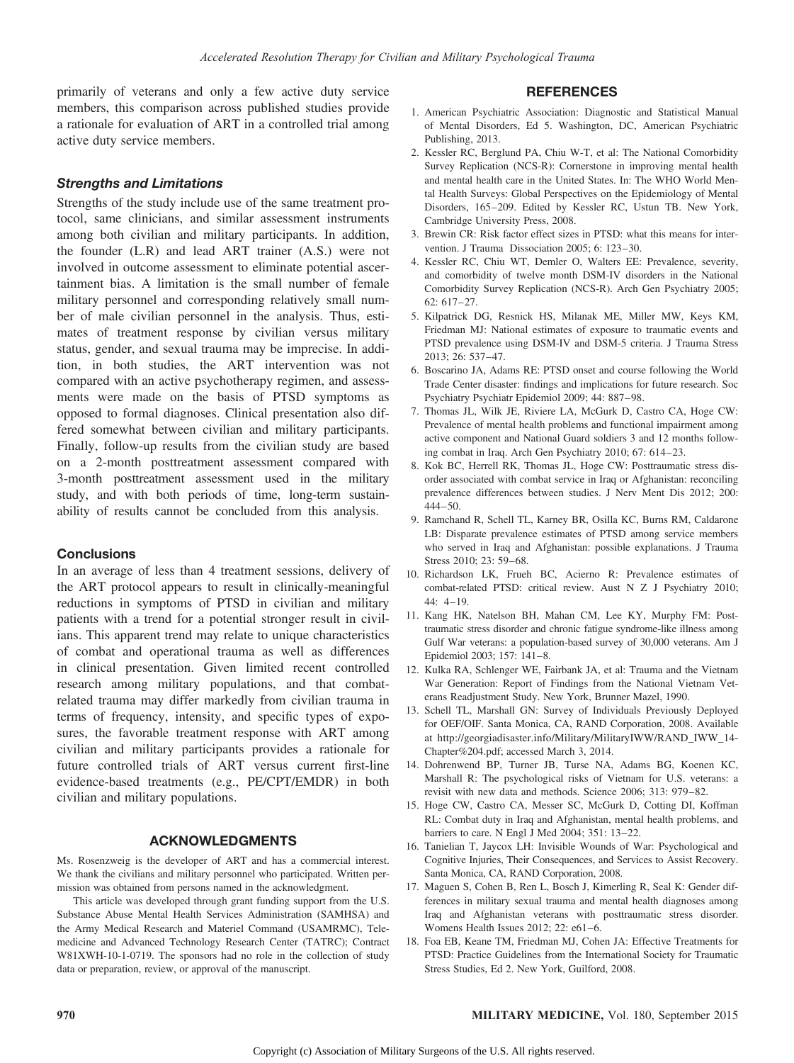primarily of veterans and only a few active duty service members, this comparison across published studies provide a rationale for evaluation of ART in a controlled trial among active duty service members.

# Strengths and Limitations

Strengths of the study include use of the same treatment protocol, same clinicians, and similar assessment instruments among both civilian and military participants. In addition, the founder (L.R) and lead ART trainer (A.S.) were not involved in outcome assessment to eliminate potential ascertainment bias. A limitation is the small number of female military personnel and corresponding relatively small number of male civilian personnel in the analysis. Thus, estimates of treatment response by civilian versus military status, gender, and sexual trauma may be imprecise. In addition, in both studies, the ART intervention was not compared with an active psychotherapy regimen, and assessments were made on the basis of PTSD symptoms as opposed to formal diagnoses. Clinical presentation also differed somewhat between civilian and military participants. Finally, follow-up results from the civilian study are based on a 2-month posttreatment assessment compared with 3-month posttreatment assessment used in the military study, and with both periods of time, long-term sustainability of results cannot be concluded from this analysis.

# **Conclusions**

In an average of less than 4 treatment sessions, delivery of the ART protocol appears to result in clinically-meaningful reductions in symptoms of PTSD in civilian and military patients with a trend for a potential stronger result in civilians. This apparent trend may relate to unique characteristics of combat and operational trauma as well as differences in clinical presentation. Given limited recent controlled research among military populations, and that combatrelated trauma may differ markedly from civilian trauma in terms of frequency, intensity, and specific types of exposures, the favorable treatment response with ART among civilian and military participants provides a rationale for future controlled trials of ART versus current first-line evidence-based treatments (e.g., PE/CPT/EMDR) in both civilian and military populations.

# ACKNOWLEDGMENTS

Ms. Rosenzweig is the developer of ART and has a commercial interest. We thank the civilians and military personnel who participated. Written permission was obtained from persons named in the acknowledgment.

This article was developed through grant funding support from the U.S. Substance Abuse Mental Health Services Administration (SAMHSA) and the Army Medical Research and Materiel Command (USAMRMC), Telemedicine and Advanced Technology Research Center (TATRC); Contract W81XWH-10-1-0719. The sponsors had no role in the collection of study data or preparation, review, or approval of the manuscript.

## **REFERENCES**

- 1. American Psychiatric Association: Diagnostic and Statistical Manual of Mental Disorders, Ed 5. Washington, DC, American Psychiatric Publishing, 2013.
- 2. Kessler RC, Berglund PA, Chiu W-T, et al: The National Comorbidity Survey Replication (NCS-R): Cornerstone in improving mental health and mental health care in the United States. In: The WHO World Mental Health Surveys: Global Perspectives on the Epidemiology of Mental Disorders, 165–209. Edited by Kessler RC, Ustun TB. New York, Cambridge University Press, 2008.
- 3. Brewin CR: Risk factor effect sizes in PTSD: what this means for intervention. J Trauma Dissociation 2005; 6: 123–30.
- 4. Kessler RC, Chiu WT, Demler O, Walters EE: Prevalence, severity, and comorbidity of twelve month DSM-IV disorders in the National Comorbidity Survey Replication (NCS-R). Arch Gen Psychiatry 2005; 62: 617–27.
- 5. Kilpatrick DG, Resnick HS, Milanak ME, Miller MW, Keys KM, Friedman MJ: National estimates of exposure to traumatic events and PTSD prevalence using DSM-IV and DSM-5 criteria. J Trauma Stress 2013; 26: 537–47.
- 6. Boscarino JA, Adams RE: PTSD onset and course following the World Trade Center disaster: findings and implications for future research. Soc Psychiatry Psychiatr Epidemiol 2009; 44: 887–98.
- 7. Thomas JL, Wilk JE, Riviere LA, McGurk D, Castro CA, Hoge CW: Prevalence of mental health problems and functional impairment among active component and National Guard soldiers 3 and 12 months following combat in Iraq. Arch Gen Psychiatry 2010; 67: 614–23.
- 8. Kok BC, Herrell RK, Thomas JL, Hoge CW: Posttraumatic stress disorder associated with combat service in Iraq or Afghanistan: reconciling prevalence differences between studies. J Nerv Ment Dis 2012; 200: 444–50.
- 9. Ramchand R, Schell TL, Karney BR, Osilla KC, Burns RM, Caldarone LB: Disparate prevalence estimates of PTSD among service members who served in Iraq and Afghanistan: possible explanations. J Trauma Stress 2010; 23: 59–68.
- 10. Richardson LK, Frueh BC, Acierno R: Prevalence estimates of combat-related PTSD: critical review. Aust N Z J Psychiatry 2010; 44: 4–19.
- 11. Kang HK, Natelson BH, Mahan CM, Lee KY, Murphy FM: Posttraumatic stress disorder and chronic fatigue syndrome-like illness among Gulf War veterans: a population-based survey of 30,000 veterans. Am J Epidemiol 2003; 157: 141–8.
- 12. Kulka RA, Schlenger WE, Fairbank JA, et al: Trauma and the Vietnam War Generation: Report of Findings from the National Vietnam Veterans Readjustment Study. New York, Brunner Mazel, 1990.
- 13. Schell TL, Marshall GN: Survey of Individuals Previously Deployed for OEF/OIF. Santa Monica, CA, RAND Corporation, 2008. Available at http://georgiadisaster.info/Military/MilitaryIWW/RAND\_IWW\_14- Chapter%204.pdf; accessed March 3, 2014.
- 14. Dohrenwend BP, Turner JB, Turse NA, Adams BG, Koenen KC, Marshall R: The psychological risks of Vietnam for U.S. veterans: a revisit with new data and methods. Science 2006; 313: 979–82.
- 15. Hoge CW, Castro CA, Messer SC, McGurk D, Cotting DI, Koffman RL: Combat duty in Iraq and Afghanistan, mental health problems, and barriers to care. N Engl J Med 2004; 351: 13–22.
- 16. Tanielian T, Jaycox LH: Invisible Wounds of War: Psychological and Cognitive Injuries, Their Consequences, and Services to Assist Recovery. Santa Monica, CA, RAND Corporation, 2008.
- 17. Maguen S, Cohen B, Ren L, Bosch J, Kimerling R, Seal K: Gender differences in military sexual trauma and mental health diagnoses among Iraq and Afghanistan veterans with posttraumatic stress disorder. Womens Health Issues 2012; 22: e61–6.
- 18. Foa EB, Keane TM, Friedman MJ, Cohen JA: Effective Treatments for PTSD: Practice Guidelines from the International Society for Traumatic Stress Studies, Ed 2. New York, Guilford, 2008.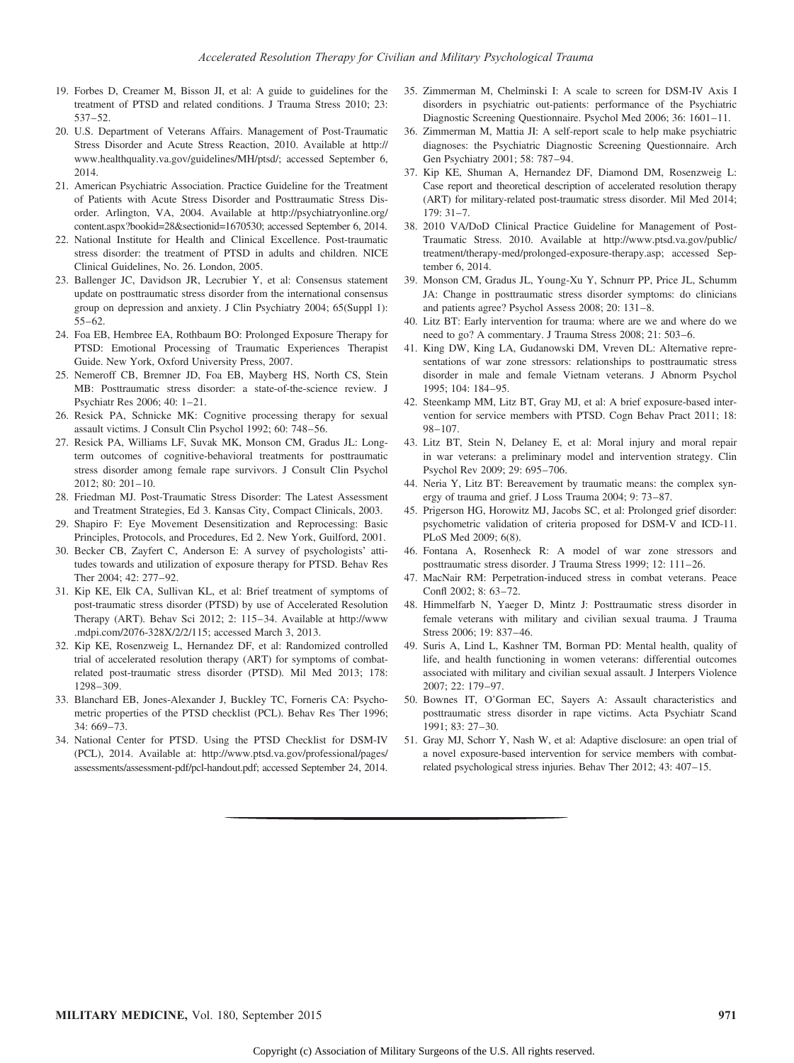- 19. Forbes D, Creamer M, Bisson JI, et al: A guide to guidelines for the treatment of PTSD and related conditions. J Trauma Stress 2010; 23: 537–52.
- 20. U.S. Department of Veterans Affairs. Management of Post-Traumatic Stress Disorder and Acute Stress Reaction, 2010. Available at http:// www.healthquality.va.gov/guidelines/MH/ptsd/; accessed September 6, 2014.
- 21. American Psychiatric Association. Practice Guideline for the Treatment of Patients with Acute Stress Disorder and Posttraumatic Stress Disorder. Arlington, VA, 2004. Available at http://psychiatryonline.org/ content.aspx?bookid=28&sectionid=1670530; accessed September 6, 2014.
- 22. National Institute for Health and Clinical Excellence. Post-traumatic stress disorder: the treatment of PTSD in adults and children. NICE Clinical Guidelines, No. 26. London, 2005.
- 23. Ballenger JC, Davidson JR, Lecrubier Y, et al: Consensus statement update on posttraumatic stress disorder from the international consensus group on depression and anxiety. J Clin Psychiatry 2004; 65(Suppl 1): 55–62.
- 24. Foa EB, Hembree EA, Rothbaum BO: Prolonged Exposure Therapy for PTSD: Emotional Processing of Traumatic Experiences Therapist Guide. New York, Oxford University Press, 2007.
- 25. Nemeroff CB, Bremner JD, Foa EB, Mayberg HS, North CS, Stein MB: Posttraumatic stress disorder: a state-of-the-science review. J Psychiatr Res 2006; 40: 1–21.
- 26. Resick PA, Schnicke MK: Cognitive processing therapy for sexual assault victims. J Consult Clin Psychol 1992; 60: 748–56.
- 27. Resick PA, Williams LF, Suvak MK, Monson CM, Gradus JL: Longterm outcomes of cognitive-behavioral treatments for posttraumatic stress disorder among female rape survivors. J Consult Clin Psychol 2012; 80: 201–10.
- 28. Friedman MJ. Post-Traumatic Stress Disorder: The Latest Assessment and Treatment Strategies, Ed 3. Kansas City, Compact Clinicals, 2003.
- 29. Shapiro F: Eye Movement Desensitization and Reprocessing: Basic Principles, Protocols, and Procedures, Ed 2. New York, Guilford, 2001.
- 30. Becker CB, Zayfert C, Anderson E: A survey of psychologists' attitudes towards and utilization of exposure therapy for PTSD. Behav Res Ther 2004; 42: 277–92.
- 31. Kip KE, Elk CA, Sullivan KL, et al: Brief treatment of symptoms of post-traumatic stress disorder (PTSD) by use of Accelerated Resolution Therapy (ART). Behav Sci 2012; 2: 115–34. Available at http://www .mdpi.com/2076-328X/2/2/115; accessed March 3, 2013.
- 32. Kip KE, Rosenzweig L, Hernandez DF, et al: Randomized controlled trial of accelerated resolution therapy (ART) for symptoms of combatrelated post-traumatic stress disorder (PTSD). Mil Med 2013; 178: 1298–309.
- 33. Blanchard EB, Jones-Alexander J, Buckley TC, Forneris CA: Psychometric properties of the PTSD checklist (PCL). Behav Res Ther 1996;  $34.669 - 73$
- 34. National Center for PTSD. Using the PTSD Checklist for DSM-IV (PCL), 2014. Available at: http://www.ptsd.va.gov/professional/pages/ assessments/assessment-pdf/pcl-handout.pdf; accessed September 24, 2014.
- 35. Zimmerman M, Chelminski I: A scale to screen for DSM-IV Axis I disorders in psychiatric out-patients: performance of the Psychiatric Diagnostic Screening Questionnaire. Psychol Med 2006; 36: 1601–11.
- 36. Zimmerman M, Mattia JI: A self-report scale to help make psychiatric diagnoses: the Psychiatric Diagnostic Screening Questionnaire. Arch Gen Psychiatry 2001; 58: 787–94.
- 37. Kip KE, Shuman A, Hernandez DF, Diamond DM, Rosenzweig L: Case report and theoretical description of accelerated resolution therapy (ART) for military-related post-traumatic stress disorder. Mil Med 2014; 179: 31–7.
- 38. 2010 VA/DoD Clinical Practice Guideline for Management of Post-Traumatic Stress. 2010. Available at http://www.ptsd.va.gov/public/ treatment/therapy-med/prolonged-exposure-therapy.asp; accessed September 6, 2014.
- 39. Monson CM, Gradus JL, Young-Xu Y, Schnurr PP, Price JL, Schumm JA: Change in posttraumatic stress disorder symptoms: do clinicians and patients agree? Psychol Assess 2008; 20: 131–8.
- 40. Litz BT: Early intervention for trauma: where are we and where do we need to go? A commentary. J Trauma Stress 2008; 21: 503–6.
- 41. King DW, King LA, Gudanowski DM, Vreven DL: Alternative representations of war zone stressors: relationships to posttraumatic stress disorder in male and female Vietnam veterans. J Abnorm Psychol 1995; 104: 184–95.
- 42. Steenkamp MM, Litz BT, Gray MJ, et al: A brief exposure-based intervention for service members with PTSD. Cogn Behav Pract 2011; 18: 98–107.
- 43. Litz BT, Stein N, Delaney E, et al: Moral injury and moral repair in war veterans: a preliminary model and intervention strategy. Clin Psychol Rev 2009; 29: 695–706.
- 44. Neria Y, Litz BT: Bereavement by traumatic means: the complex synergy of trauma and grief. J Loss Trauma 2004; 9: 73–87.
- 45. Prigerson HG, Horowitz MJ, Jacobs SC, et al: Prolonged grief disorder: psychometric validation of criteria proposed for DSM-V and ICD-11. PLoS Med 2009; 6(8).
- 46. Fontana A, Rosenheck R: A model of war zone stressors and posttraumatic stress disorder. J Trauma Stress 1999; 12: 111–26.
- 47. MacNair RM: Perpetration-induced stress in combat veterans. Peace Confl 2002; 8: 63–72.
- 48. Himmelfarb N, Yaeger D, Mintz J: Posttraumatic stress disorder in female veterans with military and civilian sexual trauma. J Trauma Stress 2006; 19: 837–46.
- 49. Suris A, Lind L, Kashner TM, Borman PD: Mental health, quality of life, and health functioning in women veterans: differential outcomes associated with military and civilian sexual assault. J Interpers Violence 2007; 22: 179–97.
- 50. Bownes IT, O'Gorman EC, Sayers A: Assault characteristics and posttraumatic stress disorder in rape victims. Acta Psychiatr Scand 1991; 83: 27–30.
- 51. Gray MJ, Schorr Y, Nash W, et al: Adaptive disclosure: an open trial of a novel exposure-based intervention for service members with combatrelated psychological stress injuries. Behav Ther 2012; 43: 407–15.